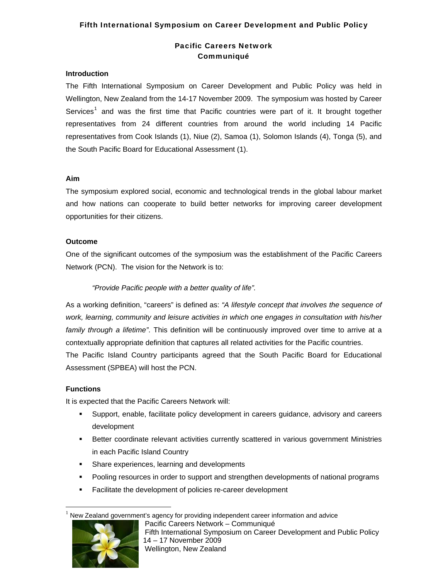# Pacific Careers Network Communiqué

#### **Introduction**

The Fifth International Symposium on Career Development and Public Policy was held in Wellington, New Zealand from the 14-17 November 2009. The symposium was hosted by Career Services<sup>[1](#page-0-0)</sup> and was the first time that Pacific countries were part of it. It brought together representatives from 24 different countries from around the world including 14 Pacific representatives from Cook Islands (1), Niue (2), Samoa (1), Solomon Islands (4), Tonga (5), and the South Pacific Board for Educational Assessment (1).

### **Aim**

The symposium explored social, economic and technological trends in the global labour market and how nations can cooperate to build better networks for improving career development opportunities for their citizens.

#### **Outcome**

One of the significant outcomes of the symposium was the establishment of the Pacific Careers Network (PCN). The vision for the Network is to:

### *"Provide Pacific people with a better quality of life".*

As a working definition, "careers" is defined as: *"A lifestyle concept that involves the sequence of work, learning, community and leisure activities in which one engages in consultation with his/her family through a lifetime"*. This definition will be continuously improved over time to arrive at a contextually appropriate definition that captures all related activities for the Pacific countries. The Pacific Island Country participants agreed that the South Pacific Board for Educational Assessment (SPBEA) will host the PCN.

### **Functions**

 $\overline{a}$ 

It is expected that the Pacific Careers Network will:

- Support, enable, facilitate policy development in careers guidance, advisory and careers development
- **Better coordinate relevant activities currently scattered in various government Ministries** in each Pacific Island Country
- **Share experiences, learning and developments**
- **Pooling resources in order to support and strengthen developments of national programs**
- **Facilitate the development of policies re-career development**

<span id="page-0-0"></span>New Zealand government's agency for providing independent career information and advice



Pacific Careers Network – Communiqué Fifth International Symposium on Career Development and Public Policy 14 – 17 November 2009 Wellington, New Zealand